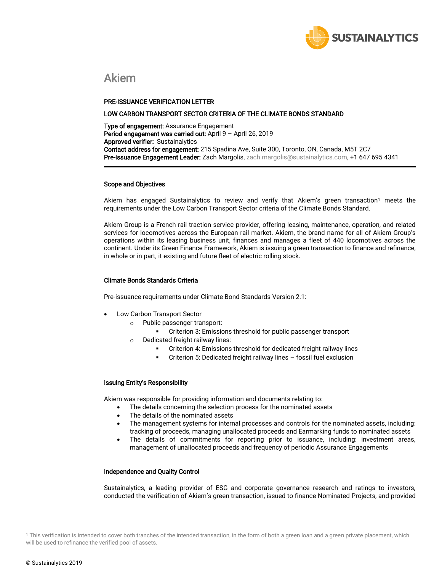

# Akiem

## PRE-ISSUANCE VERIFICATION LETTER

#### LOW CARBON TRANSPORT SECTOR CRITERIA OF THE CLIMATE BONDS STANDARD

Type of engagement: Assurance Engagement Period engagement was carried out: April 9 - April 26, 2019 Approved verifier: Sustainalytics Contact address for engagement: 215 Spadina Ave, Suite 300, Toronto, ON, Canada, M5T 2C7 Pre-Issuance Engagement Leader: Zach Margolis[, zach.m](mailto:vikram.puppala@sustainalytics.com)argolis@sustainalytics.com, +1 647 695 4341

## Scope and Objectives

Akiem has engaged Sustainalytics to review and verify that Akiem's green transaction<sup>1</sup> meets the requirements under the Low Carbon Transport Sector criteria of the Climate Bonds Standard.

Akiem Group is a French rail traction service provider, offering leasing, maintenance, operation, and related services for locomotives across the European rail market. Akiem, the brand name for all of Akiem Group's operations within its leasing business unit, finances and manages a fleet of 440 locomotives across the continent. Under its Green Finance Framework, Akiem is issuing a green transaction to finance and refinance, in whole or in part, it existing and future fleet of electric rolling stock.

## Climate Bonds Standards Criteria

Pre-issuance requirements under Climate Bond Standards Version 2.1:

- Low Carbon Transport Sector
	- o Public passenger transport:
		- Criterion 3: Emissions threshold for public passenger transport
	- o Dedicated freight railway lines:
		- Criterion 4: Emissions threshold for dedicated freight railway lines
		- Criterion 5: Dedicated freight railway lines fossil fuel exclusion

## Issuing Entity's Responsibility

Akiem was responsible for providing information and documents relating to:

- The details concerning the selection process for the nominated assets
- The details of the nominated assets
- The management systems for internal processes and controls for the nominated assets, including: tracking of proceeds, managing unallocated proceeds and Earmarking funds to nominated assets
- The details of commitments for reporting prior to issuance, including: investment areas, management of unallocated proceeds and frequency of periodic Assurance Engagements

# Independence and Quality Control

Sustainalytics, a leading provider of ESG and corporate governance research and ratings to investors, conducted the verification of Akiem's green transaction, issued to finance Nominated Projects, and provided

 $\overline{\phantom{a}}$ 

<sup>&</sup>lt;sup>1</sup> This verification is intended to cover both tranches of the intended transaction, in the form of both a green loan and a green private placement, which will be used to refinance the verified pool of assets.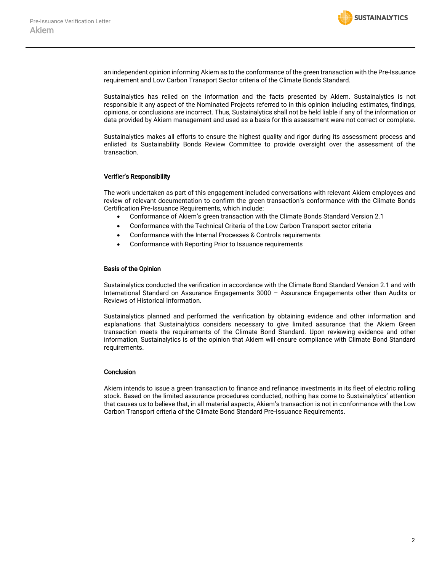

an independent opinion informing Akiem as to the conformance of the green transaction with the Pre-Issuance requirement and Low Carbon Transport Sector criteria of the Climate Bonds Standard.

Sustainalytics has relied on the information and the facts presented by Akiem. Sustainalytics is not responsible it any aspect of the Nominated Projects referred to in this opinion including estimates, findings, opinions, or conclusions are incorrect. Thus, Sustainalytics shall not be held liable if any of the information or data provided by Akiem management and used as a basis for this assessment were not correct or complete.

Sustainalytics makes all efforts to ensure the highest quality and rigor during its assessment process and enlisted its Sustainability Bonds Review Committee to provide oversight over the assessment of the transaction.

# Verifier's Responsibility

The work undertaken as part of this engagement included conversations with relevant Akiem employees and review of relevant documentation to confirm the green transaction's conformance with the Climate Bonds Certification Pre-Issuance Requirements, which include:

- Conformance of Akiem's green transaction with the Climate Bonds Standard Version 2.1
- Conformance with the Technical Criteria of the Low Carbon Transport sector criteria
- Conformance with the Internal Processes & Controls requirements
- Conformance with Reporting Prior to Issuance requirements

## Basis of the Opinion

Sustainalytics conducted the verification in accordance with the Climate Bond Standard Version 2.1 and with International Standard on Assurance Engagements 3000 – Assurance Engagements other than Audits or Reviews of Historical Information.

Sustainalytics planned and performed the verification by obtaining evidence and other information and explanations that Sustainalytics considers necessary to give limited assurance that the Akiem Green transaction meets the requirements of the Climate Bond Standard. Upon reviewing evidence and other information, Sustainalytics is of the opinion that Akiem will ensure compliance with Climate Bond Standard requirements.

## **Conclusion**

Akiem intends to issue a green transaction to finance and refinance investments in its fleet of electric rolling stock. Based on the limited assurance procedures conducted, nothing has come to Sustainalytics' attention that causes us to believe that, in all material aspects, Akiem's transaction is not in conformance with the Low Carbon Transport criteria of the Climate Bond Standard Pre-Issuance Requirements.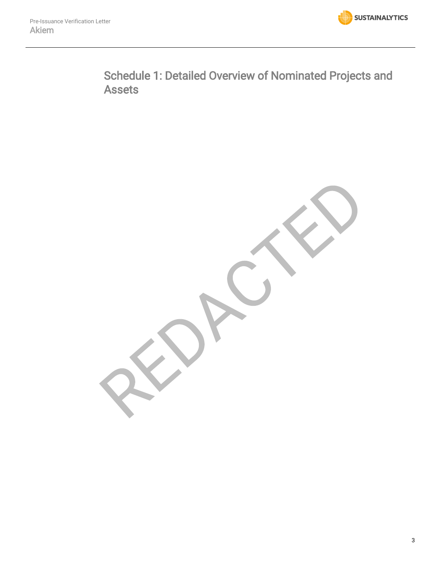

Schedule 1: Detailed Overview of Nominated Projects and Assets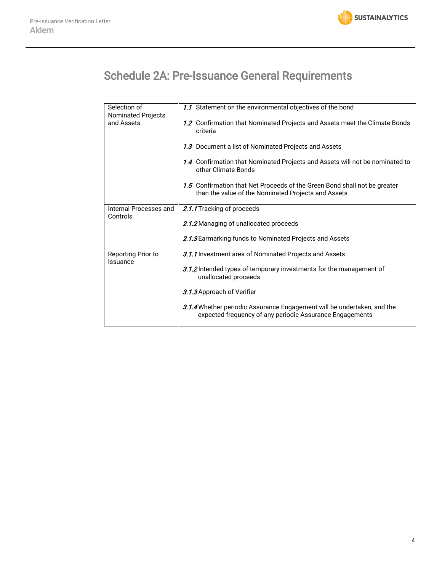

# Schedule 2A: Pre-Issuance General Requirements

| Selection of<br><b>Nominated Projects</b> | 1.1 Statement on the environmental objectives of the bond                                                                           |
|-------------------------------------------|-------------------------------------------------------------------------------------------------------------------------------------|
| and Assets:                               | 1.2 Confirmation that Nominated Projects and Assets meet the Climate Bonds<br>criteria                                              |
|                                           | 1.3 Document a list of Nominated Projects and Assets                                                                                |
|                                           | 1.4 Confirmation that Nominated Projects and Assets will not be nominated to<br>other Climate Bonds                                 |
|                                           | 1.5 Confirmation that Net Proceeds of the Green Bond shall not be greater<br>than the value of the Nominated Projects and Assets    |
| Internal Processes and                    | 2.1.1 Tracking of proceeds                                                                                                          |
| Controls                                  |                                                                                                                                     |
|                                           | 2.1.2 Managing of unallocated proceeds                                                                                              |
|                                           | 2.1.3 Earmarking funds to Nominated Projects and Assets                                                                             |
| Reporting Prior to<br>Issuance            | 3.1.1 Investment area of Nominated Projects and Assets                                                                              |
|                                           | 3.1.2 Intended types of temporary investments for the management of<br>unallocated proceeds                                         |
|                                           | 3.1.3 Approach of Verifier                                                                                                          |
|                                           | 3.1.4 Whether periodic Assurance Engagement will be undertaken, and the<br>expected frequency of any periodic Assurance Engagements |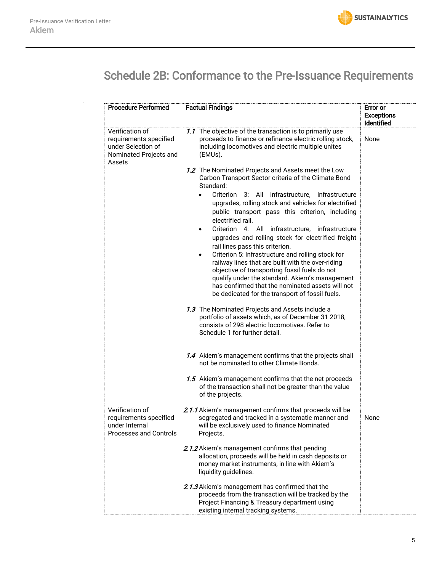

# Schedule 2B: Conformance to the Pre-Issuance Requirements

| <b>Procedure Performed</b>                                                                          | <b>Factual Findings</b>                                                                                                                                                                                                                                                                                                                                                                                                                                                                                                                                                                                                                                                                                                                                                                                                                                                                                                                                                                                                                                                                                                                                                                                                                                                                                                                                                                                                                  | <b>Error or</b><br><b>Exceptions</b><br><b>Identified</b> |
|-----------------------------------------------------------------------------------------------------|------------------------------------------------------------------------------------------------------------------------------------------------------------------------------------------------------------------------------------------------------------------------------------------------------------------------------------------------------------------------------------------------------------------------------------------------------------------------------------------------------------------------------------------------------------------------------------------------------------------------------------------------------------------------------------------------------------------------------------------------------------------------------------------------------------------------------------------------------------------------------------------------------------------------------------------------------------------------------------------------------------------------------------------------------------------------------------------------------------------------------------------------------------------------------------------------------------------------------------------------------------------------------------------------------------------------------------------------------------------------------------------------------------------------------------------|-----------------------------------------------------------|
| Verification of<br>requirements specified<br>under Selection of<br>Nominated Projects and<br>Assets | 1.1 The objective of the transaction is to primarily use<br>proceeds to finance or refinance electric rolling stock,<br>including locomotives and electric multiple unites<br>(EMUs).<br>1.2 The Nominated Projects and Assets meet the Low<br>Carbon Transport Sector criteria of the Climate Bond<br>Standard:<br>Criterion 3: All infrastructure, infrastructure<br>upgrades, rolling stock and vehicles for electrified<br>public transport pass this criterion, including<br>electrified rail.<br>Criterion 4: All infrastructure, infrastructure<br>$\bullet$<br>upgrades and rolling stock for electrified freight<br>rail lines pass this criterion.<br>Criterion 5: Infrastructure and rolling stock for<br>$\bullet$<br>railway lines that are built with the over-riding<br>objective of transporting fossil fuels do not<br>qualify under the standard. Akiem's management<br>has confirmed that the nominated assets will not<br>be dedicated for the transport of fossil fuels.<br>1.3 The Nominated Projects and Assets include a<br>portfolio of assets which, as of December 31 2018,<br>consists of 298 electric locomotives. Refer to<br>Schedule 1 for further detail.<br>1.4 Akiem's management confirms that the projects shall<br>not be nominated to other Climate Bonds.<br>1.5 Akiem's management confirms that the net proceeds<br>of the transaction shall not be greater than the value<br>of the projects. | None                                                      |
| Verification of<br>requirements specified<br>under Internal<br><b>Processes and Controls</b>        | 2.1.1 Akiem's management confirms that proceeds will be<br>segregated and tracked in a systematic manner and<br>will be exclusively used to finance Nominated<br>Projects.<br>2.1.2 Akiem's management confirms that pending<br>allocation, proceeds will be held in cash deposits or<br>money market instruments, in line with Akiem's<br>liquidity guidelines.<br>2.1.3 Akiem's management has confirmed that the<br>proceeds from the transaction will be tracked by the<br>Project Financing & Treasury department using<br>existing internal tracking systems.                                                                                                                                                                                                                                                                                                                                                                                                                                                                                                                                                                                                                                                                                                                                                                                                                                                                      | None                                                      |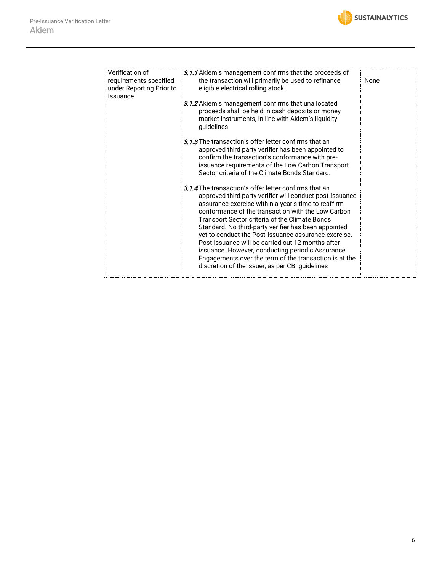

| Verification of<br>requirements specified<br>under Reporting Prior to<br>Issuance | 3.1.1 Akiem's management confirms that the proceeds of<br>the transaction will primarily be used to refinance<br>eligible electrical rolling stock.                                                                                                                                                                                                                                                                                                                                                                                                                                                                    | None |
|-----------------------------------------------------------------------------------|------------------------------------------------------------------------------------------------------------------------------------------------------------------------------------------------------------------------------------------------------------------------------------------------------------------------------------------------------------------------------------------------------------------------------------------------------------------------------------------------------------------------------------------------------------------------------------------------------------------------|------|
|                                                                                   | 3.1.2 Akiem's management confirms that unallocated<br>proceeds shall be held in cash deposits or money<br>market instruments, in line with Akiem's liquidity<br>guidelines                                                                                                                                                                                                                                                                                                                                                                                                                                             |      |
|                                                                                   | 3.1.3 The transaction's offer letter confirms that an<br>approved third party verifier has been appointed to<br>confirm the transaction's conformance with pre-<br>issuance requirements of the Low Carbon Transport<br>Sector criteria of the Climate Bonds Standard.                                                                                                                                                                                                                                                                                                                                                 |      |
|                                                                                   | 3.1.4 The transaction's offer letter confirms that an<br>approved third party verifier will conduct post-issuance<br>assurance exercise within a year's time to reaffirm<br>conformance of the transaction with the Low Carbon<br>Transport Sector criteria of the Climate Bonds<br>Standard. No third-party verifier has been appointed<br>yet to conduct the Post-Issuance assurance exercise.<br>Post-issuance will be carried out 12 months after<br>issuance. However, conducting periodic Assurance<br>Engagements over the term of the transaction is at the<br>discretion of the issuer, as per CBI guidelines |      |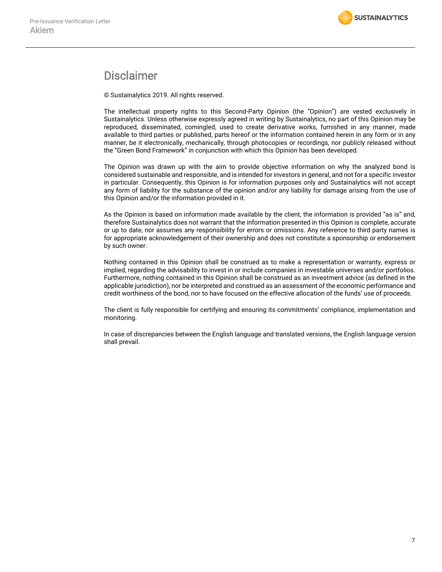# Disclaimer

© Sustainalytics 2019. All rights reserved.

The intellectual property rights to this Second-Party Opinion (the "Opinion") are vested exclusively in Sustainalytics. Unless otherwise expressly agreed in writing by Sustainalytics, no part of this Opinion may be reproduced, disseminated, comingled, used to create derivative works, furnished in any manner, made available to third parties or published, parts hereof or the information contained herein in any form or in any manner, be it electronically, mechanically, through photocopies or recordings, nor publicly released without the "Green Bond Framework" in conjunction with which this Opinion has been developed.

The Opinion was drawn up with the aim to provide objective information on why the analyzed bond is considered sustainable and responsible, and is intended for investors in general, and not for a specific investor in particular. Consequently, this Opinion is for information purposes only and Sustainalytics will not accept any form of liability for the substance of the opinion and/or any liability for damage arising from the use of this Opinion and/or the information provided in it.

As the Opinion is based on information made available by the client, the information is provided "as is" and, therefore Sustainalytics does not warrant that the information presented in this Opinion is complete, accurate or up to date, nor assumes any responsibility for errors or omissions. Any reference to third party names is for appropriate acknowledgement of their ownership and does not constitute a sponsorship or endorsement by such owner.

Nothing contained in this Opinion shall be construed as to make a representation or warranty, express or implied, regarding the advisability to invest in or include companies in investable universes and/or portfolios. Furthermore, nothing contained in this Opinion shall be construed as an investment advice (as defined in the applicable jurisdiction), nor be interpreted and construed as an assessment of the economic performance and credit worthiness of the bond, nor to have focused on the effective allocation of the funds' use of proceeds.

The client is fully responsible for certifying and ensuring its commitments' compliance, implementation and monitoring.

In case of discrepancies between the English language and translated versions, the English language version shall prevail.